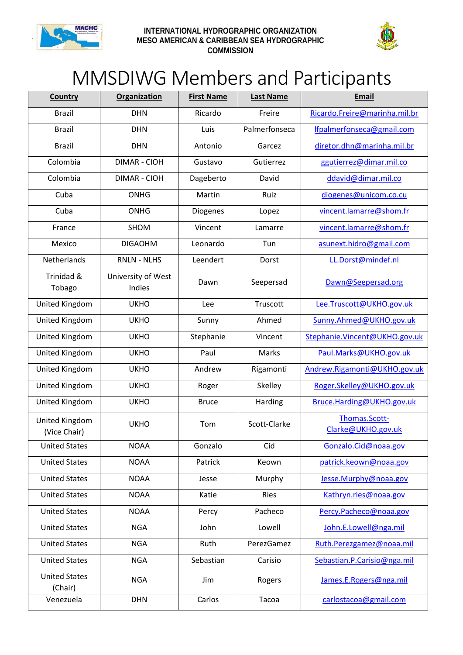



## MMSDIWG Members and Participants

| <b>Country</b>                  | <b>Organization</b>          | <b>First Name</b> | <b>Last Name</b> | <b>Email</b>                        |
|---------------------------------|------------------------------|-------------------|------------------|-------------------------------------|
| <b>Brazil</b>                   | <b>DHN</b>                   | Ricardo           | Freire           | Ricardo.Freire@marinha.mil.br       |
| <b>Brazil</b>                   | <b>DHN</b>                   | Luis              | Palmerfonseca    | lfpalmerfonseca@gmail.com           |
| <b>Brazil</b>                   | <b>DHN</b>                   | Antonio           | Garcez           | diretor.dhn@marinha.mil.br          |
| Colombia                        | <b>DIMAR - CIOH</b>          | Gustavo           | Gutierrez        | ggutierrez@dimar.mil.co             |
| Colombia                        | <b>DIMAR - CIOH</b>          | Dageberto         | David            | ddavid@dimar.mil.co                 |
| Cuba                            | <b>ONHG</b>                  | Martin            | Ruiz             | diogenes@unicom.co.cu               |
| Cuba                            | <b>ONHG</b>                  | Diogenes          | Lopez            | vincent.lamarre@shom.fr             |
| France                          | SHOM                         | Vincent           | Lamarre          | vincent.lamarre@shom.fr             |
| Mexico                          | <b>DIGAOHM</b>               | Leonardo          | Tun              | asunext.hidro@gmail.com             |
| Netherlands                     | <b>RNLN - NLHS</b>           | Leendert          | Dorst            | LL.Dorst@mindef.nl                  |
| Trinidad &<br>Tobago            | University of West<br>Indies | Dawn              | Seepersad        | Dawn@Seepersad.org                  |
| United Kingdom                  | <b>UKHO</b>                  | Lee               | Truscott         | Lee.Truscott@UKHO.gov.uk            |
| United Kingdom                  | <b>UKHO</b>                  | Sunny             | Ahmed            | Sunny.Ahmed@UKHO.gov.uk             |
| United Kingdom                  | <b>UKHO</b>                  | Stephanie         | Vincent          | Stephanie.Vincent@UKHO.gov.uk       |
| United Kingdom                  | <b>UKHO</b>                  | Paul              | Marks            | Paul.Marks@UKHO.gov.uk              |
| United Kingdom                  | <b>UKHO</b>                  | Andrew            | Rigamonti        | Andrew.Rigamonti@UKHO.gov.uk        |
| United Kingdom                  | <b>UKHO</b>                  | Roger             | Skelley          | Roger.Skelley@UKHO.gov.uk           |
| United Kingdom                  | <b>UKHO</b>                  | <b>Bruce</b>      | Harding          | Bruce.Harding@UKHO.gov.uk           |
| United Kingdom<br>(Vice Chair)  | <b>UKHO</b>                  | Tom               | Scott-Clarke     | Thomas.Scott-<br>Clarke@UKHO.gov.uk |
| <b>United States</b>            | <b>NOAA</b>                  | Gonzalo           | Cid              | Gonzalo.Cid@noaa.gov                |
| <b>United States</b>            | <b>NOAA</b>                  | Patrick           | Keown            | patrick.keown@noaa.gov              |
| <b>United States</b>            | <b>NOAA</b>                  | Jesse             | Murphy           | Jesse.Murphy@noaa.gov               |
| <b>United States</b>            | <b>NOAA</b>                  | Katie             | <b>Ries</b>      | Kathryn.ries@noaa.gov               |
| <b>United States</b>            | <b>NOAA</b>                  | Percy             | Pacheco          | Percy.Pacheco@noaa.gov              |
| <b>United States</b>            | <b>NGA</b>                   | John              | Lowell           | John.E.Lowell@nga.mil               |
| <b>United States</b>            | <b>NGA</b>                   | Ruth              | PerezGamez       | Ruth.Perezgamez@noaa.mil            |
| <b>United States</b>            | <b>NGA</b>                   | Sebastian         | Carisio          | Sebastian.P.Carisio@nga.mil         |
| <b>United States</b><br>(Chair) | <b>NGA</b>                   | Jim               | Rogers           | James.E.Rogers@nga.mil              |
| Venezuela                       | <b>DHN</b>                   | Carlos            | Tacoa            | carlostacoa@gmail.com               |